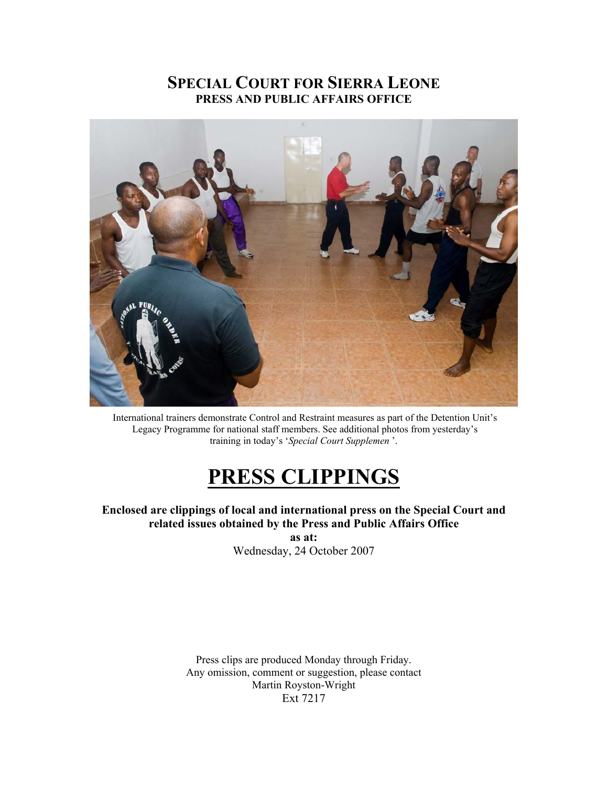## **SPECIAL COURT FOR SIERRA LEONE PRESS AND PUBLIC AFFAIRS OFFICE**



 International trainers demonstrate Control and Restraint measures as part of the Detention Unit's Legacy Programme for national staff members. See additional photos from yesterday's training in today's '*Special Court Supplemen* '.

## **PRESS CLIPPINGS**

**Enclosed are clippings of local and international press on the Special Court and related issues obtained by the Press and Public Affairs Office as at:** 

Wednesday, 24 October 2007

Press clips are produced Monday through Friday. Any omission, comment or suggestion, please contact Martin Royston-Wright Ext 7217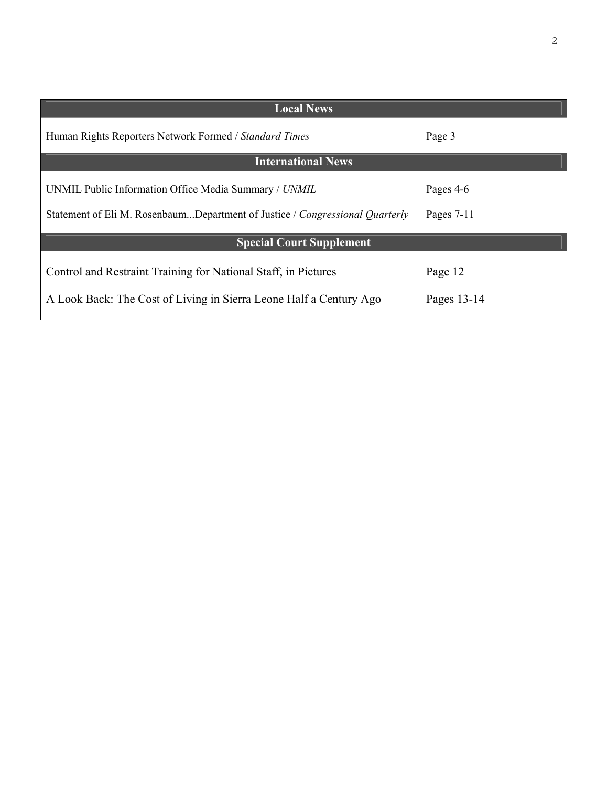| <b>Local News</b>                                                            |              |  |  |
|------------------------------------------------------------------------------|--------------|--|--|
| Human Rights Reporters Network Formed / Standard Times                       | Page 3       |  |  |
| <b>International News</b>                                                    |              |  |  |
| UNMIL Public Information Office Media Summary / UNMIL                        | Pages 4-6    |  |  |
| Statement of Eli M. RosenbaumDepartment of Justice / Congressional Quarterly | Pages $7-11$ |  |  |
| <b>Special Court Supplement</b>                                              |              |  |  |
| Control and Restraint Training for National Staff, in Pictures               | Page 12      |  |  |
| A Look Back: The Cost of Living in Sierra Leone Half a Century Ago           | Pages 13-14  |  |  |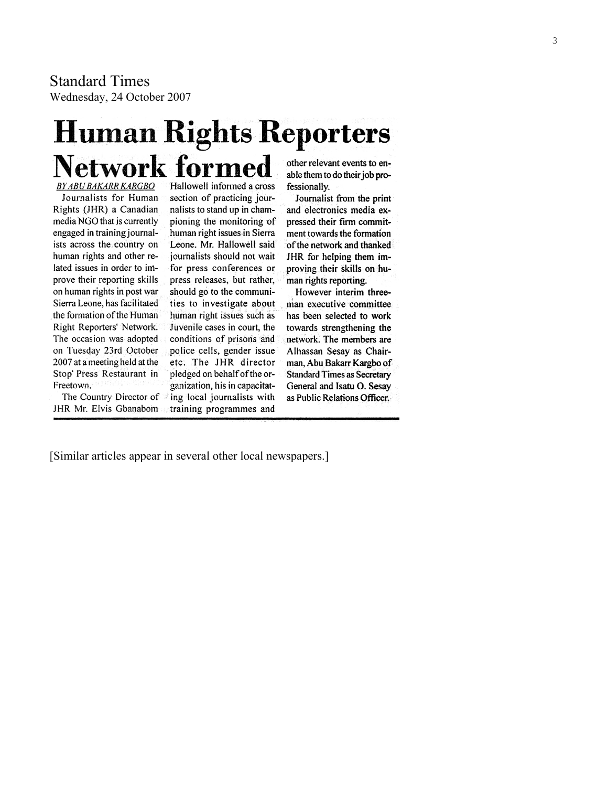Standard Times Wednesday, 24 October 2007

# **Human Rights Reporters Network formed**

**BY ABU BAKARR KARGBO** Journalists for Human Rights (JHR) a Canadian media NGO that is currently engaged in training journalists across the country on human rights and other related issues in order to improve their reporting skills on human rights in post war Sierra Leone, has facilitated the formation of the Human Right Reporters' Network. The occasion was adopted on Tuesday 23rd October 2007 at a meeting held at the Stop' Press Restaurant in Freetown.

The Country Director of JHR Mr. Elvis Gbanabom

Hallowell informed a cross section of practicing journalists to stand up in championing the monitoring of human right issues in Sierra Leone. Mr. Hallowell said journalists should not wait for press conferences or press releases, but rather, should go to the communities to investigate about human right issues such as Juvenile cases in court, the conditions of prisons and police cells, gender issue etc. The JHR director pledged on behalf of the organization, his in capacitating local journalists with training programmes and

other relevant events to enable them to do their job professionally.

Journalist from the print and electronics media expressed their firm commitment towards the formation of the network and thanked JHR for helping them improving their skills on human rights reporting.

However interim threeman executive committee has been selected to work towards strengthening the network. The members are Alhassan Sesay as Chairman, Abu Bakarr Kargbo of **Standard Times as Secretary** General and Isatu O. Sesay as Public Relations Officer.

[Similar articles appear in several other local newspapers.]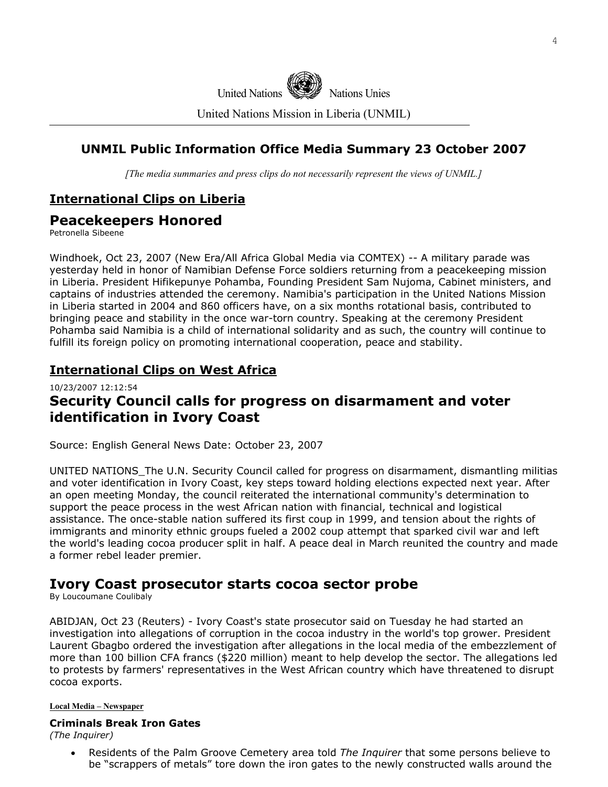

United Nations Mission in Liberia (UNMIL)

## **UNMIL Public Information Office Media Summary 23 October 2007**

*[The media summaries and press clips do not necessarily represent the views of UNMIL.]*

## **International Clips on Liberia**

## **Peacekeepers Honored**

Petronella Sibeene

Windhoek, Oct 23, 2007 (New Era/All Africa Global Media via COMTEX) -- A military parade was yesterday held in honor of Namibian Defense Force soldiers returning from a peacekeeping mission in Liberia. President Hifikepunye Pohamba, Founding President Sam Nujoma, Cabinet ministers, and captains of industries attended the ceremony. Namibia's participation in the United Nations Mission in Liberia started in 2004 and 860 officers have, on a six months rotational basis, contributed to bringing peace and stability in the once war-torn country. Speaking at the ceremony President Pohamba said Namibia is a child of international solidarity and as such, the country will continue to fulfill its foreign policy on promoting international cooperation, peace and stability.

## **International Clips on West Africa**

## 10/23/2007 12:12:54 **Security Council calls for progress on disarmament and voter identification in Ivory Coast**

Source: English General News Date: October 23, 2007

UNITED NATIONS The U.N. Security Council called for progress on disarmament, dismantling militias and voter identification in Ivory Coast, key steps toward holding elections expected next year. After an open meeting Monday, the council reiterated the international community's determination to support the peace process in the west African nation with financial, technical and logistical assistance. The once-stable nation suffered its first coup in 1999, and tension about the rights of immigrants and minority ethnic groups fueled a 2002 coup attempt that sparked civil war and left the world's leading cocoa producer split in half. A peace deal in March reunited the country and made a former rebel leader premier.

## **Ivory Coast prosecutor starts cocoa sector probe**

By Loucoumane Coulibaly

ABIDJAN, Oct 23 (Reuters) - Ivory Coast's state prosecutor said on Tuesday he had started an investigation into allegations of corruption in the cocoa industry in the world's top grower. President Laurent Gbagbo ordered the investigation after allegations in the local media of the embezzlement of more than 100 billion CFA francs (\$220 million) meant to help develop the sector. The allegations led to protests by farmers' representatives in the West African country which have threatened to disrupt cocoa exports.

#### **Local Media – Newspaper**

#### **Criminals Break Iron Gates**

*(The Inquirer)* 

• Residents of the Palm Groove Cemetery area told *The Inquirer* that some persons believe to be "scrappers of metals" tore down the iron gates to the newly constructed walls around the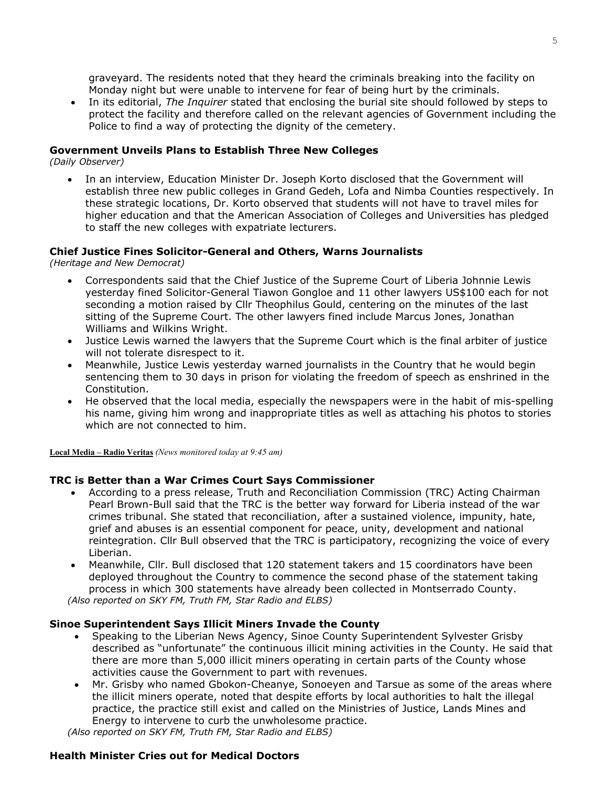graveyard. The residents noted that they heard the criminals breaking into the facility on Monday night but were unable to intervene for fear of being hurt by the criminals.

• In its editorial, *The Inquirer* stated that enclosing the burial site should followed by steps to protect the facility and therefore called on the relevant agencies of Government including the Police to find a way of protecting the dignity of the cemetery.

#### **Government Unveils Plans to Establish Three New Colleges**

*(Daily Observer)* 

• In an interview, Education Minister Dr. Joseph Korto disclosed that the Government will establish three new public colleges in Grand Gedeh, Lofa and Nimba Counties respectively. In these strategic locations, Dr. Korto observed that students will not have to travel miles for higher education and that the American Association of Colleges and Universities has pledged to staff the new colleges with expatriate lecturers.

#### **Chief Justice Fines Solicitor-General and Others, Warns Journalists**

*(Heritage and New Democrat)* 

- Correspondents said that the Chief Justice of the Supreme Court of Liberia Johnnie Lewis yesterday fined Solicitor-General Tiawon Gongloe and 11 other lawyers US\$100 each for not seconding a motion raised by Cllr Theophilus Gould, centering on the minutes of the last sitting of the Supreme Court. The other lawyers fined include Marcus Jones, Jonathan Williams and Wilkins Wright.
- Justice Lewis warned the lawyers that the Supreme Court which is the final arbiter of justice will not tolerate disrespect to it.
- Meanwhile, Justice Lewis yesterday warned journalists in the Country that he would begin sentencing them to 30 days in prison for violating the freedom of speech as enshrined in the Constitution.
- He observed that the local media, especially the newspapers were in the habit of mis-spelling his name, giving him wrong and inappropriate titles as well as attaching his photos to stories which are not connected to him.

**Local Media – Radio Veritas** *(News monitored today at 9:45 am)*

#### **TRC is Better than a War Crimes Court Says Commissioner**

- According to a press release, Truth and Reconciliation Commission (TRC) Acting Chairman Pearl Brown-Bull said that the TRC is the better way forward for Liberia instead of the war crimes tribunal. She stated that reconciliation, after a sustained violence, impunity, hate, grief and abuses is an essential component for peace, unity, development and national reintegration. Cllr Bull observed that the TRC is participatory, recognizing the voice of every Liberian.
- Meanwhile, Cllr. Bull disclosed that 120 statement takers and 15 coordinators have been deployed throughout the Country to commence the second phase of the statement taking process in which 300 statements have already been collected in Montserrado County.

*(Also reported on SKY FM, Truth FM, Star Radio and ELBS)* 

#### **Sinoe Superintendent Says Illicit Miners Invade the County**

- Speaking to the Liberian News Agency, Sinoe County Superintendent Sylvester Grisby described as "unfortunate" the continuous illicit mining activities in the County. He said that there are more than 5,000 illicit miners operating in certain parts of the County whose activities cause the Government to part with revenues.
- Mr. Grisby who named Gbokon-Cheanye, Sonoeyen and Tarsue as some of the areas where the illicit miners operate, noted that despite efforts by local authorities to halt the illegal practice, the practice still exist and called on the Ministries of Justice, Lands Mines and Energy to intervene to curb the unwholesome practice.

*(Also reported on SKY FM, Truth FM, Star Radio and ELBS)* 

#### **Health Minister Cries out for Medical Doctors**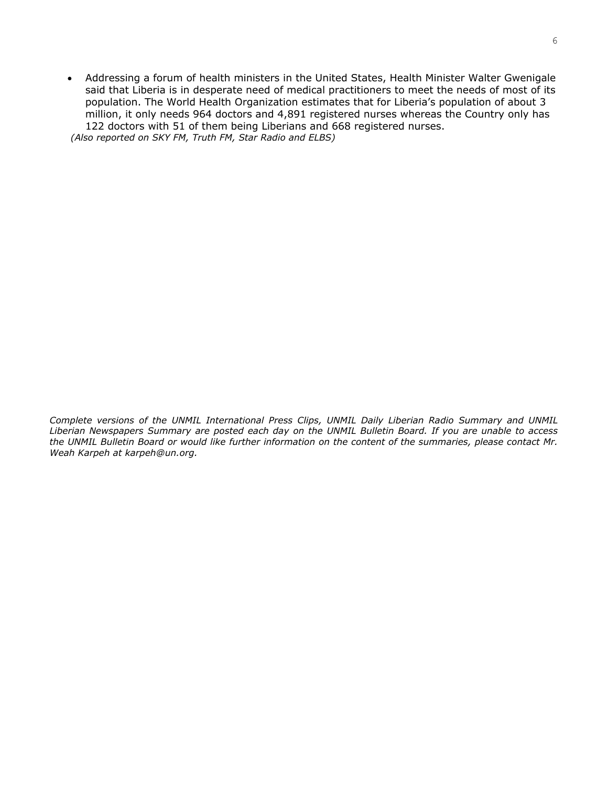• Addressing a forum of health ministers in the United States, Health Minister Walter Gwenigale said that Liberia is in desperate need of medical practitioners to meet the needs of most of its population. The World Health Organization estimates that for Liberia's population of about 3 million, it only needs 964 doctors and 4,891 registered nurses whereas the Country only has 122 doctors with 51 of them being Liberians and 668 registered nurses.  *(Also reported on SKY FM, Truth FM, Star Radio and ELBS)* 

*Complete versions of the UNMIL International Press Clips, UNMIL Daily Liberian Radio Summary and UNMIL Liberian Newspapers Summary are posted each day on the UNMIL Bulletin Board. If you are unable to access the UNMIL Bulletin Board or would like further information on the content of the summaries, please contact Mr. Weah Karpeh at karpeh@un.org.*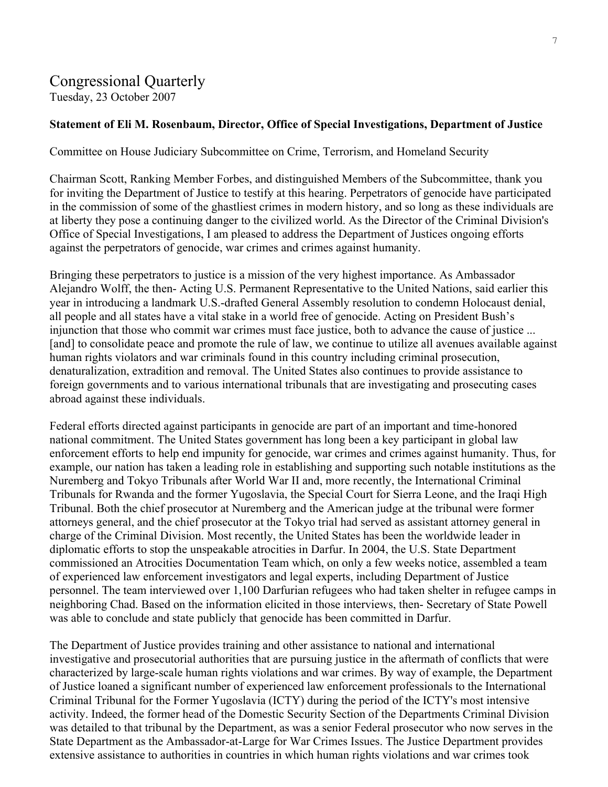## Congressional Quarterly

Tuesday, 23 October 2007

#### **Statement of Eli M. Rosenbaum, Director, Office of Special Investigations, Department of Justice**

Committee on House Judiciary Subcommittee on Crime, Terrorism, and Homeland Security

Chairman Scott, Ranking Member Forbes, and distinguished Members of the Subcommittee, thank you for inviting the Department of Justice to testify at this hearing. Perpetrators of genocide have participated in the commission of some of the ghastliest crimes in modern history, and so long as these individuals are at liberty they pose a continuing danger to the civilized world. As the Director of the Criminal Division's Office of Special Investigations, I am pleased to address the Department of Justices ongoing efforts against the perpetrators of genocide, war crimes and crimes against humanity.

Bringing these perpetrators to justice is a mission of the very highest importance. As Ambassador Alejandro Wolff, the then- Acting U.S. Permanent Representative to the United Nations, said earlier this year in introducing a landmark U.S.-drafted General Assembly resolution to condemn Holocaust denial, all people and all states have a vital stake in a world free of genocide. Acting on President Bush's injunction that those who commit war crimes must face justice, both to advance the cause of justice ... [and] to consolidate peace and promote the rule of law, we continue to utilize all avenues available against human rights violators and war criminals found in this country including criminal prosecution, denaturalization, extradition and removal. The United States also continues to provide assistance to foreign governments and to various international tribunals that are investigating and prosecuting cases abroad against these individuals.

Federal efforts directed against participants in genocide are part of an important and time-honored national commitment. The United States government has long been a key participant in global law enforcement efforts to help end impunity for genocide, war crimes and crimes against humanity. Thus, for example, our nation has taken a leading role in establishing and supporting such notable institutions as the Nuremberg and Tokyo Tribunals after World War II and, more recently, the International Criminal Tribunals for Rwanda and the former Yugoslavia, the Special Court for Sierra Leone, and the Iraqi High Tribunal. Both the chief prosecutor at Nuremberg and the American judge at the tribunal were former attorneys general, and the chief prosecutor at the Tokyo trial had served as assistant attorney general in charge of the Criminal Division. Most recently, the United States has been the worldwide leader in diplomatic efforts to stop the unspeakable atrocities in Darfur. In 2004, the U.S. State Department commissioned an Atrocities Documentation Team which, on only a few weeks notice, assembled a team of experienced law enforcement investigators and legal experts, including Department of Justice personnel. The team interviewed over 1,100 Darfurian refugees who had taken shelter in refugee camps in neighboring Chad. Based on the information elicited in those interviews, then- Secretary of State Powell was able to conclude and state publicly that genocide has been committed in Darfur.

The Department of Justice provides training and other assistance to national and international investigative and prosecutorial authorities that are pursuing justice in the aftermath of conflicts that were characterized by large-scale human rights violations and war crimes. By way of example, the Department of Justice loaned a significant number of experienced law enforcement professionals to the International Criminal Tribunal for the Former Yugoslavia (ICTY) during the period of the ICTY's most intensive activity. Indeed, the former head of the Domestic Security Section of the Departments Criminal Division was detailed to that tribunal by the Department, as was a senior Federal prosecutor who now serves in the State Department as the Ambassador-at-Large for War Crimes Issues. The Justice Department provides extensive assistance to authorities in countries in which human rights violations and war crimes took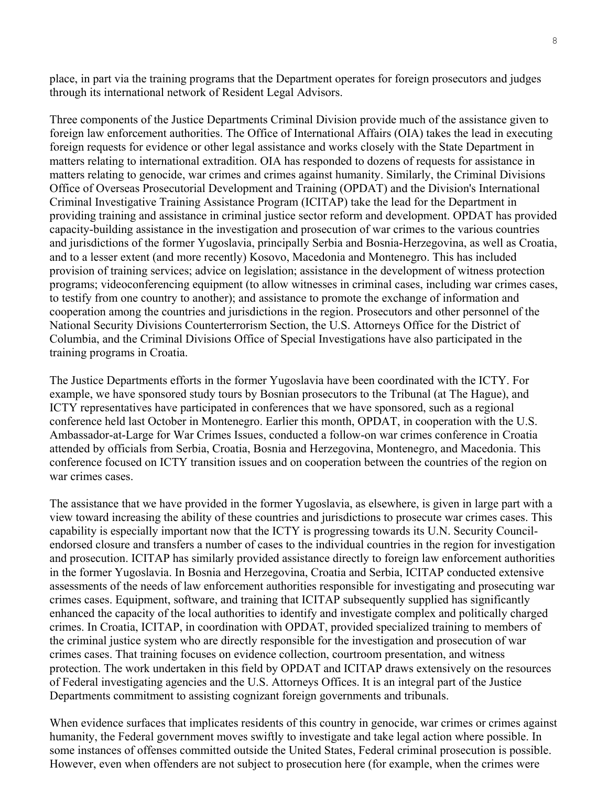place, in part via the training programs that the Department operates for foreign prosecutors and judges through its international network of Resident Legal Advisors.

Three components of the Justice Departments Criminal Division provide much of the assistance given to foreign law enforcement authorities. The Office of International Affairs (OIA) takes the lead in executing foreign requests for evidence or other legal assistance and works closely with the State Department in matters relating to international extradition. OIA has responded to dozens of requests for assistance in matters relating to genocide, war crimes and crimes against humanity. Similarly, the Criminal Divisions Office of Overseas Prosecutorial Development and Training (OPDAT) and the Division's International Criminal Investigative Training Assistance Program (ICITAP) take the lead for the Department in providing training and assistance in criminal justice sector reform and development. OPDAT has provided capacity-building assistance in the investigation and prosecution of war crimes to the various countries and jurisdictions of the former Yugoslavia, principally Serbia and Bosnia-Herzegovina, as well as Croatia, and to a lesser extent (and more recently) Kosovo, Macedonia and Montenegro. This has included provision of training services; advice on legislation; assistance in the development of witness protection programs; videoconferencing equipment (to allow witnesses in criminal cases, including war crimes cases, to testify from one country to another); and assistance to promote the exchange of information and cooperation among the countries and jurisdictions in the region. Prosecutors and other personnel of the National Security Divisions Counterterrorism Section, the U.S. Attorneys Office for the District of Columbia, and the Criminal Divisions Office of Special Investigations have also participated in the training programs in Croatia.

The Justice Departments efforts in the former Yugoslavia have been coordinated with the ICTY. For example, we have sponsored study tours by Bosnian prosecutors to the Tribunal (at The Hague), and ICTY representatives have participated in conferences that we have sponsored, such as a regional conference held last October in Montenegro. Earlier this month, OPDAT, in cooperation with the U.S. Ambassador-at-Large for War Crimes Issues, conducted a follow-on war crimes conference in Croatia attended by officials from Serbia, Croatia, Bosnia and Herzegovina, Montenegro, and Macedonia. This conference focused on ICTY transition issues and on cooperation between the countries of the region on war crimes cases.

The assistance that we have provided in the former Yugoslavia, as elsewhere, is given in large part with a view toward increasing the ability of these countries and jurisdictions to prosecute war crimes cases. This capability is especially important now that the ICTY is progressing towards its U.N. Security Councilendorsed closure and transfers a number of cases to the individual countries in the region for investigation and prosecution. ICITAP has similarly provided assistance directly to foreign law enforcement authorities in the former Yugoslavia. In Bosnia and Herzegovina, Croatia and Serbia, ICITAP conducted extensive assessments of the needs of law enforcement authorities responsible for investigating and prosecuting war crimes cases. Equipment, software, and training that ICITAP subsequently supplied has significantly enhanced the capacity of the local authorities to identify and investigate complex and politically charged crimes. In Croatia, ICITAP, in coordination with OPDAT, provided specialized training to members of the criminal justice system who are directly responsible for the investigation and prosecution of war crimes cases. That training focuses on evidence collection, courtroom presentation, and witness protection. The work undertaken in this field by OPDAT and ICITAP draws extensively on the resources of Federal investigating agencies and the U.S. Attorneys Offices. It is an integral part of the Justice Departments commitment to assisting cognizant foreign governments and tribunals.

When evidence surfaces that implicates residents of this country in genocide, war crimes or crimes against humanity, the Federal government moves swiftly to investigate and take legal action where possible. In some instances of offenses committed outside the United States, Federal criminal prosecution is possible. However, even when offenders are not subject to prosecution here (for example, when the crimes were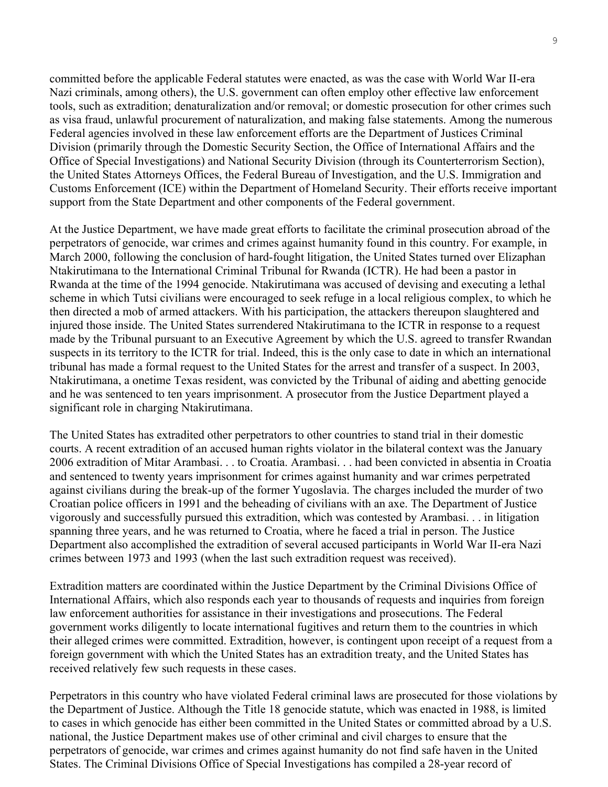committed before the applicable Federal statutes were enacted, as was the case with World War II-era Nazi criminals, among others), the U.S. government can often employ other effective law enforcement tools, such as extradition; denaturalization and/or removal; or domestic prosecution for other crimes such as visa fraud, unlawful procurement of naturalization, and making false statements. Among the numerous Federal agencies involved in these law enforcement efforts are the Department of Justices Criminal Division (primarily through the Domestic Security Section, the Office of International Affairs and the Office of Special Investigations) and National Security Division (through its Counterterrorism Section), the United States Attorneys Offices, the Federal Bureau of Investigation, and the U.S. Immigration and Customs Enforcement (ICE) within the Department of Homeland Security. Their efforts receive important support from the State Department and other components of the Federal government.

At the Justice Department, we have made great efforts to facilitate the criminal prosecution abroad of the perpetrators of genocide, war crimes and crimes against humanity found in this country. For example, in March 2000, following the conclusion of hard-fought litigation, the United States turned over Elizaphan Ntakirutimana to the International Criminal Tribunal for Rwanda (ICTR). He had been a pastor in Rwanda at the time of the 1994 genocide. Ntakirutimana was accused of devising and executing a lethal scheme in which Tutsi civilians were encouraged to seek refuge in a local religious complex, to which he then directed a mob of armed attackers. With his participation, the attackers thereupon slaughtered and injured those inside. The United States surrendered Ntakirutimana to the ICTR in response to a request made by the Tribunal pursuant to an Executive Agreement by which the U.S. agreed to transfer Rwandan suspects in its territory to the ICTR for trial. Indeed, this is the only case to date in which an international tribunal has made a formal request to the United States for the arrest and transfer of a suspect. In 2003, Ntakirutimana, a onetime Texas resident, was convicted by the Tribunal of aiding and abetting genocide and he was sentenced to ten years imprisonment. A prosecutor from the Justice Department played a significant role in charging Ntakirutimana.

The United States has extradited other perpetrators to other countries to stand trial in their domestic courts. A recent extradition of an accused human rights violator in the bilateral context was the January 2006 extradition of Mitar Arambasi. . . to Croatia. Arambasi. . . had been convicted in absentia in Croatia and sentenced to twenty years imprisonment for crimes against humanity and war crimes perpetrated against civilians during the break-up of the former Yugoslavia. The charges included the murder of two Croatian police officers in 1991 and the beheading of civilians with an axe. The Department of Justice vigorously and successfully pursued this extradition, which was contested by Arambasi. . . in litigation spanning three years, and he was returned to Croatia, where he faced a trial in person. The Justice Department also accomplished the extradition of several accused participants in World War II-era Nazi crimes between 1973 and 1993 (when the last such extradition request was received).

Extradition matters are coordinated within the Justice Department by the Criminal Divisions Office of International Affairs, which also responds each year to thousands of requests and inquiries from foreign law enforcement authorities for assistance in their investigations and prosecutions. The Federal government works diligently to locate international fugitives and return them to the countries in which their alleged crimes were committed. Extradition, however, is contingent upon receipt of a request from a foreign government with which the United States has an extradition treaty, and the United States has received relatively few such requests in these cases.

Perpetrators in this country who have violated Federal criminal laws are prosecuted for those violations by the Department of Justice. Although the Title 18 genocide statute, which was enacted in 1988, is limited to cases in which genocide has either been committed in the United States or committed abroad by a U.S. national, the Justice Department makes use of other criminal and civil charges to ensure that the perpetrators of genocide, war crimes and crimes against humanity do not find safe haven in the United States. The Criminal Divisions Office of Special Investigations has compiled a 28-year record of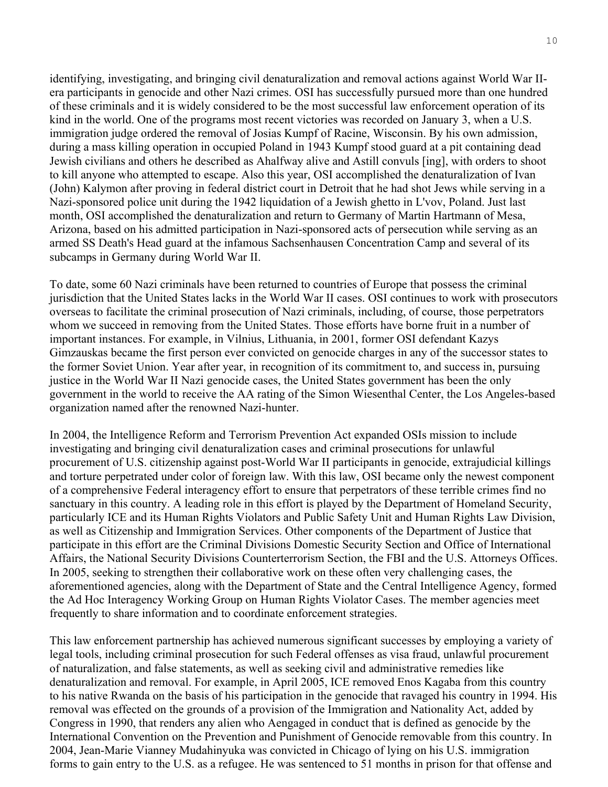identifying, investigating, and bringing civil denaturalization and removal actions against World War IIera participants in genocide and other Nazi crimes. OSI has successfully pursued more than one hundred of these criminals and it is widely considered to be the most successful law enforcement operation of its kind in the world. One of the programs most recent victories was recorded on January 3, when a U.S. immigration judge ordered the removal of Josias Kumpf of Racine, Wisconsin. By his own admission, during a mass killing operation in occupied Poland in 1943 Kumpf stood guard at a pit containing dead Jewish civilians and others he described as Ahalfway alive and Astill convuls [ing], with orders to shoot to kill anyone who attempted to escape. Also this year, OSI accomplished the denaturalization of Ivan (John) Kalymon after proving in federal district court in Detroit that he had shot Jews while serving in a Nazi-sponsored police unit during the 1942 liquidation of a Jewish ghetto in L'vov, Poland. Just last month, OSI accomplished the denaturalization and return to Germany of Martin Hartmann of Mesa, Arizona, based on his admitted participation in Nazi-sponsored acts of persecution while serving as an armed SS Death's Head guard at the infamous Sachsenhausen Concentration Camp and several of its subcamps in Germany during World War II.

To date, some 60 Nazi criminals have been returned to countries of Europe that possess the criminal jurisdiction that the United States lacks in the World War II cases. OSI continues to work with prosecutors overseas to facilitate the criminal prosecution of Nazi criminals, including, of course, those perpetrators whom we succeed in removing from the United States. Those efforts have borne fruit in a number of important instances. For example, in Vilnius, Lithuania, in 2001, former OSI defendant Kazys Gimzauskas became the first person ever convicted on genocide charges in any of the successor states to the former Soviet Union. Year after year, in recognition of its commitment to, and success in, pursuing justice in the World War II Nazi genocide cases, the United States government has been the only government in the world to receive the AA rating of the Simon Wiesenthal Center, the Los Angeles-based organization named after the renowned Nazi-hunter.

In 2004, the Intelligence Reform and Terrorism Prevention Act expanded OSIs mission to include investigating and bringing civil denaturalization cases and criminal prosecutions for unlawful procurement of U.S. citizenship against post-World War II participants in genocide, extrajudicial killings and torture perpetrated under color of foreign law. With this law, OSI became only the newest component of a comprehensive Federal interagency effort to ensure that perpetrators of these terrible crimes find no sanctuary in this country. A leading role in this effort is played by the Department of Homeland Security, particularly ICE and its Human Rights Violators and Public Safety Unit and Human Rights Law Division, as well as Citizenship and Immigration Services. Other components of the Department of Justice that participate in this effort are the Criminal Divisions Domestic Security Section and Office of International Affairs, the National Security Divisions Counterterrorism Section, the FBI and the U.S. Attorneys Offices. In 2005, seeking to strengthen their collaborative work on these often very challenging cases, the aforementioned agencies, along with the Department of State and the Central Intelligence Agency, formed the Ad Hoc Interagency Working Group on Human Rights Violator Cases. The member agencies meet frequently to share information and to coordinate enforcement strategies.

This law enforcement partnership has achieved numerous significant successes by employing a variety of legal tools, including criminal prosecution for such Federal offenses as visa fraud, unlawful procurement of naturalization, and false statements, as well as seeking civil and administrative remedies like denaturalization and removal. For example, in April 2005, ICE removed Enos Kagaba from this country to his native Rwanda on the basis of his participation in the genocide that ravaged his country in 1994. His removal was effected on the grounds of a provision of the Immigration and Nationality Act, added by Congress in 1990, that renders any alien who Aengaged in conduct that is defined as genocide by the International Convention on the Prevention and Punishment of Genocide removable from this country. In 2004, Jean-Marie Vianney Mudahinyuka was convicted in Chicago of lying on his U.S. immigration forms to gain entry to the U.S. as a refugee. He was sentenced to 51 months in prison for that offense and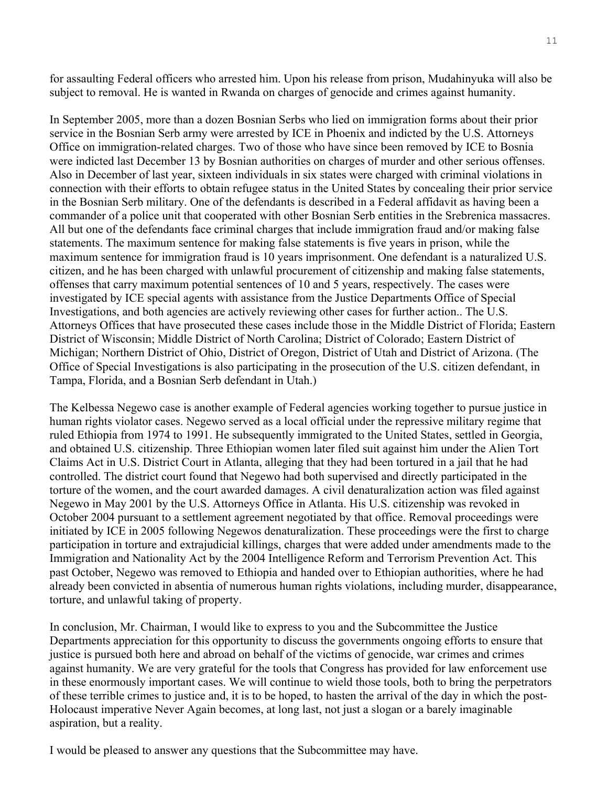for assaulting Federal officers who arrested him. Upon his release from prison, Mudahinyuka will also be subject to removal. He is wanted in Rwanda on charges of genocide and crimes against humanity.

In September 2005, more than a dozen Bosnian Serbs who lied on immigration forms about their prior service in the Bosnian Serb army were arrested by ICE in Phoenix and indicted by the U.S. Attorneys Office on immigration-related charges. Two of those who have since been removed by ICE to Bosnia were indicted last December 13 by Bosnian authorities on charges of murder and other serious offenses. Also in December of last year, sixteen individuals in six states were charged with criminal violations in connection with their efforts to obtain refugee status in the United States by concealing their prior service in the Bosnian Serb military. One of the defendants is described in a Federal affidavit as having been a commander of a police unit that cooperated with other Bosnian Serb entities in the Srebrenica massacres. All but one of the defendants face criminal charges that include immigration fraud and/or making false statements. The maximum sentence for making false statements is five years in prison, while the maximum sentence for immigration fraud is 10 years imprisonment. One defendant is a naturalized U.S. citizen, and he has been charged with unlawful procurement of citizenship and making false statements, offenses that carry maximum potential sentences of 10 and 5 years, respectively. The cases were investigated by ICE special agents with assistance from the Justice Departments Office of Special Investigations, and both agencies are actively reviewing other cases for further action.. The U.S. Attorneys Offices that have prosecuted these cases include those in the Middle District of Florida; Eastern District of Wisconsin; Middle District of North Carolina; District of Colorado; Eastern District of Michigan; Northern District of Ohio, District of Oregon, District of Utah and District of Arizona. (The Office of Special Investigations is also participating in the prosecution of the U.S. citizen defendant, in Tampa, Florida, and a Bosnian Serb defendant in Utah.)

The Kelbessa Negewo case is another example of Federal agencies working together to pursue justice in human rights violator cases. Negewo served as a local official under the repressive military regime that ruled Ethiopia from 1974 to 1991. He subsequently immigrated to the United States, settled in Georgia, and obtained U.S. citizenship. Three Ethiopian women later filed suit against him under the Alien Tort Claims Act in U.S. District Court in Atlanta, alleging that they had been tortured in a jail that he had controlled. The district court found that Negewo had both supervised and directly participated in the torture of the women, and the court awarded damages. A civil denaturalization action was filed against Negewo in May 2001 by the U.S. Attorneys Office in Atlanta. His U.S. citizenship was revoked in October 2004 pursuant to a settlement agreement negotiated by that office. Removal proceedings were initiated by ICE in 2005 following Negewos denaturalization. These proceedings were the first to charge participation in torture and extrajudicial killings, charges that were added under amendments made to the Immigration and Nationality Act by the 2004 Intelligence Reform and Terrorism Prevention Act. This past October, Negewo was removed to Ethiopia and handed over to Ethiopian authorities, where he had already been convicted in absentia of numerous human rights violations, including murder, disappearance, torture, and unlawful taking of property.

In conclusion, Mr. Chairman, I would like to express to you and the Subcommittee the Justice Departments appreciation for this opportunity to discuss the governments ongoing efforts to ensure that justice is pursued both here and abroad on behalf of the victims of genocide, war crimes and crimes against humanity. We are very grateful for the tools that Congress has provided for law enforcement use in these enormously important cases. We will continue to wield those tools, both to bring the perpetrators of these terrible crimes to justice and, it is to be hoped, to hasten the arrival of the day in which the post-Holocaust imperative Never Again becomes, at long last, not just a slogan or a barely imaginable aspiration, but a reality.

I would be pleased to answer any questions that the Subcommittee may have.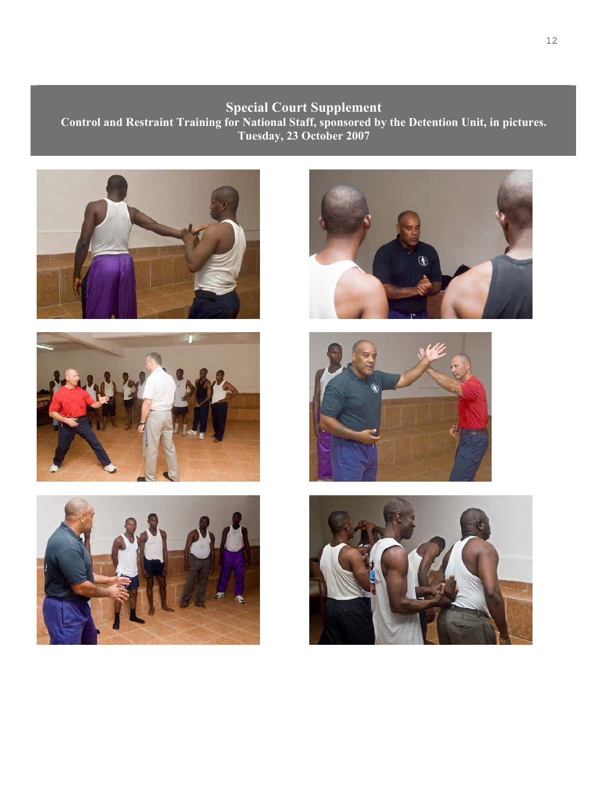## **Special Court Supplement**

**Control and Restraint Training for National Staff, sponsored by the Detention Unit, in pictures. Tuesday, 23 October 2007** 











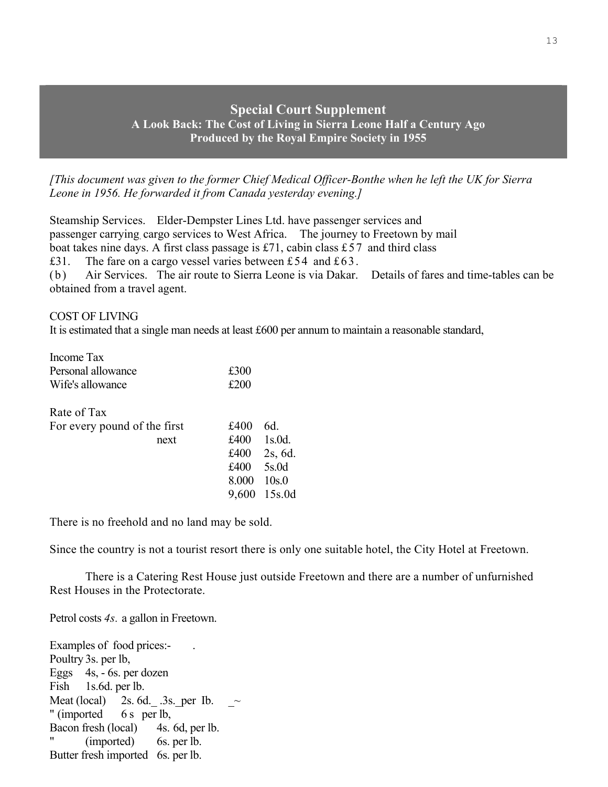## **Special Court Supplement A Look Back: The Cost of Living in Sierra Leone Half a Century Ago Produced by the Royal Empire Society in 1955**

*[This document was given to the former Chief Medical Officer-Bonthe when he left the UK for Sierra Leone in 1956. He forwarded it from Canada yesterday evening.]* 

Steamship Services. Elder-Dempster Lines Ltd. have passenger services and passenger carrying. cargo services to West Africa. The journey to Freetown by mail boat takes nine days. A first class passage is £71, cabin class £57 and third class £31. The fare on a cargo vessel varies between £54 and £63. (b) Air Services. The air route to Sierra Leone is via Dakar. Details of fares and time-tables can be obtained from a travel agent.

COST OF LIVING

It is estimated that a single man needs at least £600 per annum to maintain a reasonable standard,

| Income Tax                   |       |           |
|------------------------------|-------|-----------|
| Personal allowance           | £300  |           |
| Wife's allowance             | £200  |           |
| Rate of Tax                  |       |           |
| For every pound of the first | £400  | 6d.       |
| next                         | £400  | $1s.0d$ . |
|                              | £400  | 2s, 6d.   |
|                              | £400  | 5s.0d     |
|                              | 8.000 | 10s.0     |
|                              | 9,600 | 15s.0d    |
|                              |       |           |

There is no freehold and no land may be sold.

Since the country is not a tourist resort there is only one suitable hotel, the City Hotel at Freetown.

 There is a Catering Rest House just outside Freetown and there are a number of unfurnished Rest Houses in the Protectorate.

Petrol costs *4s.* a gallon in Freetown.

Examples of food prices:- . Poultry 3s. per lb, Eggs 4s, - 6s. per dozen Fish 1s.6d. per lb. Meat (local)  $2s. 6d.$   $3s. per Ib.$ " (imported 6 s per lb, Bacon fresh (local) 4s. 6d, per lb. " (imported) 6s. per lb. Butter fresh imported 6s. per lb.